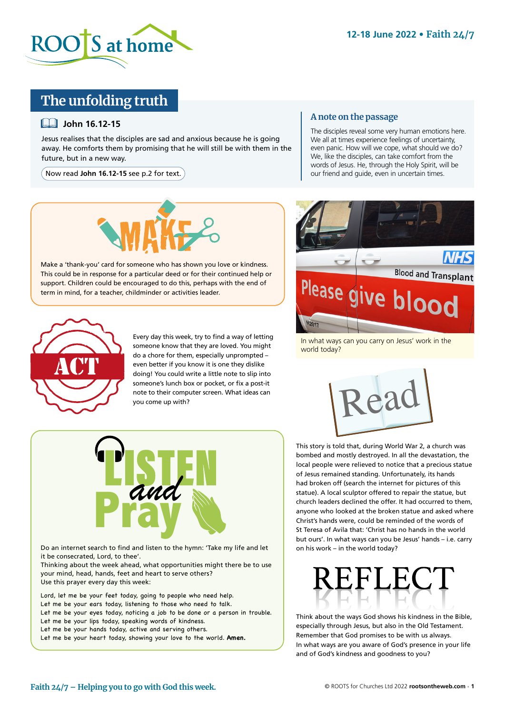

## **The unfolding truth**

### **John 16.12-15**

Jesus realises that the disciples are sad and anxious because he is going away. He comforts them by promising that he will still be with them in the future, but in a new way.

Now read **John 16.12-15** see p.2 for text.



Make a 'thank-you' card for someone who has shown you love or kindness. This could be in response for a particular deed or for their continued help or support. Children could be encouraged to do this, perhaps with the end of term in mind, for a teacher, childminder or activities leader.



Every day this week, try to find a way of letting someone know that they are loved. You might do a chore for them, especially unprompted – even better if you know it is one they dislike doing! You could write a little note to slip into someone's lunch box or pocket, or fix a post-it note to their computer screen. What ideas can you come up with?

### **A note on the passage**

The disciples reveal some very human emotions here. We all at times experience feelings of uncertainty, even panic. How will we cope, what should we do? We, like the disciples, can take comfort from the words of Jesus. He, through the Holy Spirit, will be our friend and guide, even in uncertain times.



In what ways can you carry on Jesus' work in the world today?



This story is told that, during World War 2, a church was bombed and mostly destroyed. In all the devastation, the local people were relieved to notice that a precious statue of Jesus remained standing. Unfortunately, its hands had broken off (search the internet for pictures of this statue). A local sculptor offered to repair the statue, but church leaders declined the offer. It had occurred to them, anyone who looked at the broken statue and asked where Christ's hands were, could be reminded of the words of St Teresa of Avila that: 'Christ has no hands in the world but ours'. In what ways can you be Jesus' hands – i.e. carry on his work – in the world today?



Do an internet search to find and listen to the hymn: 'Take my life and let it be consecrated, Lord, to thee'.

Thinking about the week ahead, what opportunities might there be to use your mind, head, hands, feet and heart to serve others? Use this prayer every day this week:

Lord, let me be your feet today, going to people who need help. Let me be your ears today, listening to those who need to talk. Let me be your eyes today, noticing a job to be done or a person in trouble. Let me be your lips today, speaking words of kindness. Let me be your hands today, active and serving others.

Let me be your heart today, showing your love to the world. **Amen.** 



Think about the ways God shows his kindness in the Bible, especially through Jesus, but also in the Old Testament. Remember that God promises to be with us always. In what ways are you aware of God's presence in your life and of God's kindness and goodness to you?